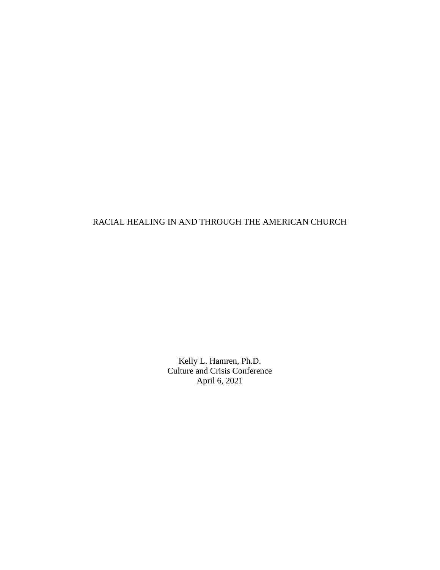## RACIAL HEALING IN AND THROUGH THE AMERICAN CHURCH

Kelly L. Hamren, Ph.D. Culture and Crisis Conference April 6, 2021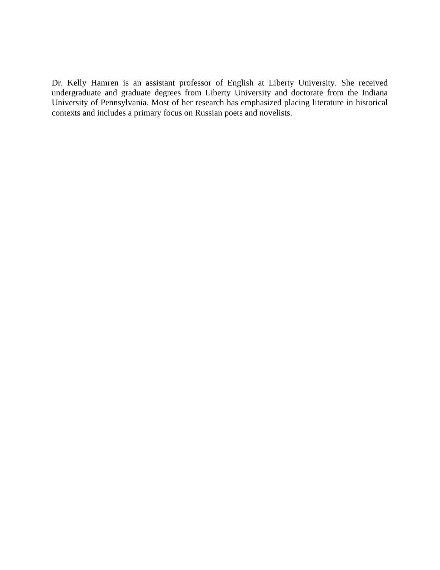Dr. Kelly Hamren is an assistant professor of English at Liberty University. She received undergraduate and graduate degrees from Liberty University and doctorate from the Indiana University of Pennsylvania. Most of her research has emphasized placing literature in historical contexts and includes a primary focus on Russian poets and novelists.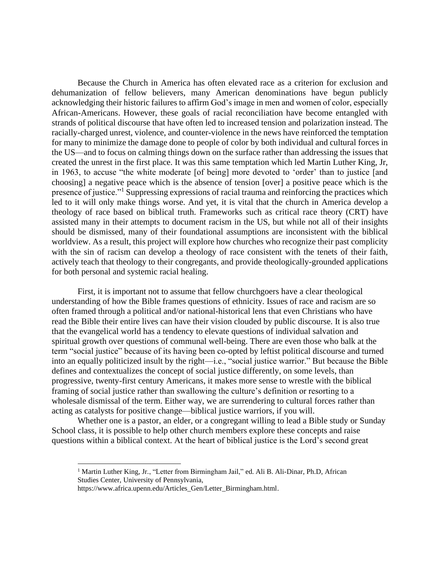Because the Church in America has often elevated race as a criterion for exclusion and dehumanization of fellow believers, many American denominations have begun publicly acknowledging their historic failures to affirm God's image in men and women of color, especially African-Americans. However, these goals of racial reconciliation have become entangled with strands of political discourse that have often led to increased tension and polarization instead. The racially-charged unrest, violence, and counter-violence in the news have reinforced the temptation for many to minimize the damage done to people of color by both individual and cultural forces in the US—and to focus on calming things down on the surface rather than addressing the issues that created the unrest in the first place. It was this same temptation which led Martin Luther King, Jr, in 1963, to accuse "the white moderate [of being] more devoted to 'order' than to justice [and choosing] a negative peace which is the absence of tension [over] a positive peace which is the presence of justice."<sup>1</sup> Suppressing expressions of racial trauma and reinforcing the practices which led to it will only make things worse. And yet, it is vital that the church in America develop a theology of race based on biblical truth. Frameworks such as critical race theory (CRT) have assisted many in their attempts to document racism in the US, but while not all of their insights should be dismissed, many of their foundational assumptions are inconsistent with the biblical worldview. As a result, this project will explore how churches who recognize their past complicity with the sin of racism can develop a theology of race consistent with the tenets of their faith, actively teach that theology to their congregants, and provide theologically-grounded applications for both personal and systemic racial healing.

First, it is important not to assume that fellow churchgoers have a clear theological understanding of how the Bible frames questions of ethnicity. Issues of race and racism are so often framed through a political and/or national-historical lens that even Christians who have read the Bible their entire lives can have their vision clouded by public discourse. It is also true that the evangelical world has a tendency to elevate questions of individual salvation and spiritual growth over questions of communal well-being. There are even those who balk at the term "social justice" because of its having been co-opted by leftist political discourse and turned into an equally politicized insult by the right—i.e., "social justice warrior." But because the Bible defines and contextualizes the concept of social justice differently, on some levels, than progressive, twenty-first century Americans, it makes more sense to wrestle with the biblical framing of social justice rather than swallowing the culture's definition or resorting to a wholesale dismissal of the term. Either way, we are surrendering to cultural forces rather than acting as catalysts for positive change—biblical justice warriors, if you will.

Whether one is a pastor, an elder, or a congregant willing to lead a Bible study or Sunday School class, it is possible to help other church members explore these concepts and raise questions within a biblical context. At the heart of biblical justice is the Lord's second great

<sup>&</sup>lt;sup>1</sup> Martin Luther King, Jr., "Letter from Birmingham Jail," ed. Ali B. Ali-Dinar, Ph.D, African Studies Center, University of Pennsylvania,

https://www.africa.upenn.edu/Articles\_Gen/Letter\_Birmingham.html.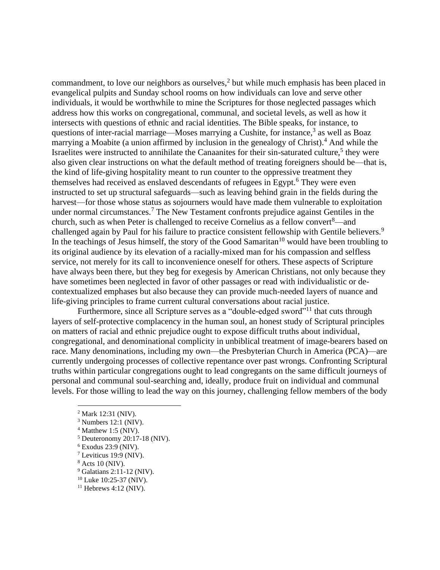commandment, to love our neighbors as ourselves, $<sup>2</sup>$  but while much emphasis has been placed in</sup> evangelical pulpits and Sunday school rooms on how individuals can love and serve other individuals, it would be worthwhile to mine the Scriptures for those neglected passages which address how this works on congregational, communal, and societal levels, as well as how it intersects with questions of ethnic and racial identities. The Bible speaks, for instance, to questions of inter-racial marriage—Moses marrying a Cushite, for instance, $3$  as well as Boaz marrying a Moabite (a union affirmed by inclusion in the genealogy of Christ).<sup>4</sup> And while the Israelites were instructed to annihilate the Canaanites for their sin-saturated culture,<sup>5</sup> they were also given clear instructions on what the default method of treating foreigners should be—that is, the kind of life-giving hospitality meant to run counter to the oppressive treatment they themselves had received as enslaved descendants of refugees in Egypt.<sup>6</sup> They were even instructed to set up structural safeguards—such as leaving behind grain in the fields during the harvest—for those whose status as sojourners would have made them vulnerable to exploitation under normal circumstances.<sup>7</sup> The New Testament confronts prejudice against Gentiles in the church, such as when Peter is challenged to receive Cornelius as a fellow convert $\alpha$ —and challenged again by Paul for his failure to practice consistent fellowship with Gentile believers.<sup>9</sup> In the teachings of Jesus himself, the story of the Good Samaritan<sup>10</sup> would have been troubling to its original audience by its elevation of a racially-mixed man for his compassion and selfless service, not merely for its call to inconvenience oneself for others. These aspects of Scripture have always been there, but they beg for exegesis by American Christians, not only because they have sometimes been neglected in favor of other passages or read with individualistic or decontextualized emphases but also because they can provide much-needed layers of nuance and life-giving principles to frame current cultural conversations about racial justice.

Furthermore, since all Scripture serves as a "double-edged sword"<sup>11</sup> that cuts through layers of self-protective complacency in the human soul, an honest study of Scriptural principles on matters of racial and ethnic prejudice ought to expose difficult truths about individual, congregational, and denominational complicity in unbiblical treatment of image-bearers based on race. Many denominations, including my own—the Presbyterian Church in America (PCA)—are currently undergoing processes of collective repentance over past wrongs. Confronting Scriptural truths within particular congregations ought to lead congregants on the same difficult journeys of personal and communal soul-searching and, ideally, produce fruit on individual and communal levels. For those willing to lead the way on this journey, challenging fellow members of the body

- $<sup>5</sup>$  Deuteronomy 20:17-18 (NIV).</sup>
- $6$  Exodus 23:9 (NIV).
- <sup>7</sup> Leviticus 19:9 (NIV).
- $8$  Acts 10 (NIV).
- <sup>9</sup> Galatians 2:11-12 (NIV).
- <sup>10</sup> Luke 10:25-37 (NIV).  $11$  Hebrews 4:12 (NIV).
- 

<sup>2</sup> Mark 12:31 (NIV).

 $3$  Numbers 12:1 (NIV).

 $4$  Matthew 1:5 (NIV).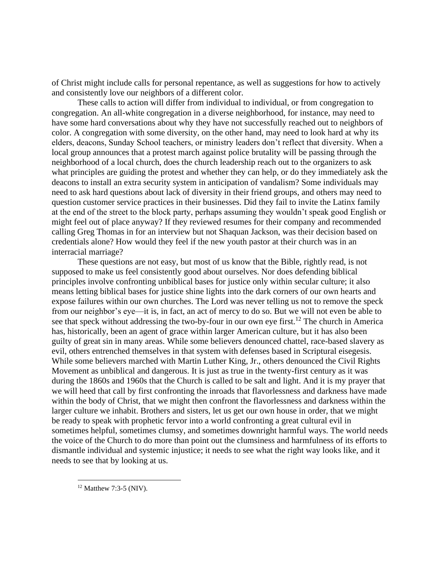of Christ might include calls for personal repentance, as well as suggestions for how to actively and consistently love our neighbors of a different color.

These calls to action will differ from individual to individual, or from congregation to congregation. An all-white congregation in a diverse neighborhood, for instance, may need to have some hard conversations about why they have not successfully reached out to neighbors of color. A congregation with some diversity, on the other hand, may need to look hard at why its elders, deacons, Sunday School teachers, or ministry leaders don't reflect that diversity. When a local group announces that a protest march against police brutality will be passing through the neighborhood of a local church, does the church leadership reach out to the organizers to ask what principles are guiding the protest and whether they can help, or do they immediately ask the deacons to install an extra security system in anticipation of vandalism? Some individuals may need to ask hard questions about lack of diversity in their friend groups, and others may need to question customer service practices in their businesses. Did they fail to invite the Latinx family at the end of the street to the block party, perhaps assuming they wouldn't speak good English or might feel out of place anyway? If they reviewed resumes for their company and recommended calling Greg Thomas in for an interview but not Shaquan Jackson, was their decision based on credentials alone? How would they feel if the new youth pastor at their church was in an interracial marriage?

These questions are not easy, but most of us know that the Bible, rightly read, is not supposed to make us feel consistently good about ourselves. Nor does defending biblical principles involve confronting unbiblical bases for justice only within secular culture; it also means letting biblical bases for justice shine lights into the dark corners of our own hearts and expose failures within our own churches. The Lord was never telling us not to remove the speck from our neighbor's eye—it is, in fact, an act of mercy to do so. But we will not even be able to see that speck without addressing the two-by-four in our own eye first.<sup>12</sup> The church in America has, historically, been an agent of grace within larger American culture, but it has also been guilty of great sin in many areas. While some believers denounced chattel, race-based slavery as evil, others entrenched themselves in that system with defenses based in Scriptural eisegesis. While some believers marched with Martin Luther King, Jr., others denounced the Civil Rights Movement as unbiblical and dangerous. It is just as true in the twenty-first century as it was during the 1860s and 1960s that the Church is called to be salt and light. And it is my prayer that we will heed that call by first confronting the inroads that flavorlessness and darkness have made within the body of Christ, that we might then confront the flavorlessness and darkness within the larger culture we inhabit. Brothers and sisters, let us get our own house in order, that we might be ready to speak with prophetic fervor into a world confronting a great cultural evil in sometimes helpful, sometimes clumsy, and sometimes downright harmful ways. The world needs the voice of the Church to do more than point out the clumsiness and harmfulness of its efforts to dismantle individual and systemic injustice; it needs to see what the right way looks like, and it needs to see that by looking at us.

 $12$  Matthew 7:3-5 (NIV).